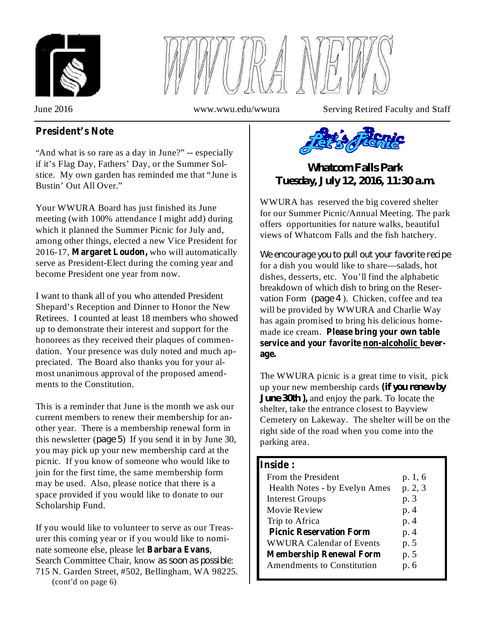



June 2016 www.wwu.edu/wwura Serving Retired Faculty and Staff

## **President's Note**

"And what is so rare as a day in June?" -- especially if it's Flag Day, Fathers' Day, or the Summer Solstice. My own garden has reminded me that "June is Bustin' Out All Over."

Your WWURA Board has just finished its June meeting (with 100% attendance I might add) during which it planned the Summer Picnic for July and, among other things, elected a new Vice President for 2016-17, Margaret Loudon, who will automatically serve as President-Elect during the coming year and become President one year from now.

I want to thank all of you who attended President Shepard's Reception and Dinner to Honor the New Retirees. I counted at least 18 members who showed up to demonstrate their interest and support for the honorees as they received their plaques of commendation. Your presence was duly noted and much appreciated. The Board also thanks you for your almost unanimous approval of the proposed amendments to the Constitution.

This is a reminder that June is the month we ask our current members to renew their membership for another year. There is a membership renewal form in this newsletter  $(page 5)$  If you send it in by June 30, you may pick up your new membership card at the picnic. If you know of someone who would like to join for the first time, the same membership form may be used. Also, please notice that there is a space provided if you would like to donate to our Scholarship Fund.

If you would like to volunteer to serve as our Treasurer this coming year or if you would like to nominate someone else, please let , **Barbara Evans**Search Committee Chair, know as soon as possible: 715 N. Garden Street, #502, Bellingham, WA 98225. (cont'd on page 6)



*Whatcom Falls Park Tuesday, July 12, 2016, 11:30 a.m.*

WWURA has reserved the big covered shelter for our Summer Picnic/Annual Meeting. The park offers opportunities for nature walks, beautiful views of Whatcom Falls and the fish hatchery.

for a dish you would like to share—salads, hot dishes, desserts, etc. You'll find the alphabetic breakdown of which dish to bring on the Reservation Form (page 4). Chicken, coffee and tea will be provided by WWURA and Charlie Way has again promised to bring his delicious homemade ice cream. **Please bring your own table** *We encourage you to pull out your favorite recipe* **service and your favorite non-alcoholic beverage.**

The WWURA picnic is a great time to visit, pick up your new membership cards *if you renew by* **(** *June* 30th, 2, and enjoy the park. To locate the shelter, take the entrance closest to Bayview Cemetery on Lakeway. The shelter will be on the right side of the road when you come into the parking area.

#### **Inside :**

| From the President<br>Health Notes - by Evelyn Ames | p. 1, 6<br>p. 2, 3 |
|-----------------------------------------------------|--------------------|
|                                                     |                    |
| <b>Interest Groups</b>                              | p. 3               |
| Movie Review                                        | p. 4               |
| Trip to Africa                                      | p. 4               |
| <b>Picnic Reservation Form</b>                      | p. 4               |
| <b>WWURA Calendar of Events</b>                     | p. 5               |
| <b>Membership Renewal Form</b>                      | p. 5               |
| <b>Amendments to Constitution</b>                   | p. 6               |
|                                                     |                    |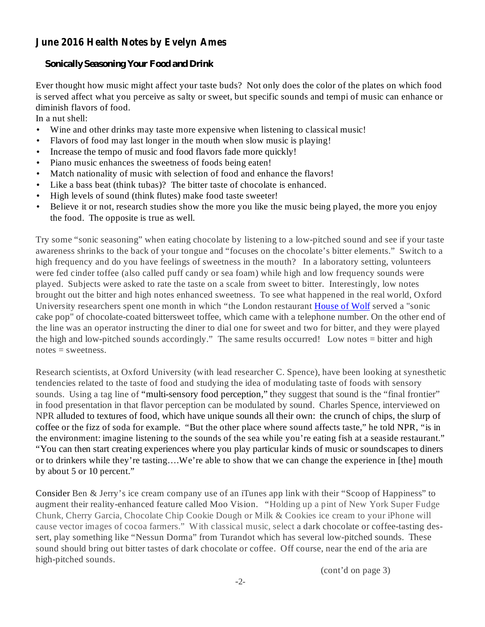## **June 2016 Health Notes by Evelyn Ames**

### *Sonically Seasoning Your Food and Drink*

Ever thought how music might affect your taste buds? Not only does the color of the plates on which food is served affect what you perceive as salty or sweet, but specific sounds and tempi of music can enhance or diminish flavors of food.

In a nut shell:

- Wine and other drinks may taste more expensive when listening to classical music! •
- Flavors of food may last longer in the mouth when slow music is playing! •
- Increase the tempo of music and food flavors fade more quickly! •
- Piano music enhances the sweetness of foods being eaten! •
- Match nationality of music with selection of food and enhance the flavors! •
- Like a bass beat (think tubas)? The bitter taste of chocolate is enhanced. •
- High levels of sound (think flutes) make food taste sweeter! •
- Believe it or not, research studies show the more you like the music being played, the more you enjoy the food. The opposite is true as well. •

Try some "sonic seasoning" when eating chocolate by listening to a low-pitched sound and see if your taste awareness shrinks to the back of your tongue and "focuses on the chocolate's bitter elements." Switch to a high frequency and do you have feelings of sweetness in the mouth? In a laboratory setting, volunteers were fed cinder toffee (also called puff candy or sea foam) while high and low frequency sounds were played. Subjects were asked to rate the taste on a scale from sweet to bitter. Interestingly, low notes brought out the bitter and high notes enhanced sweetness. To see what happened in the real world, Oxford University researchers spent one month in which "the London restaurant House of Wolf served a "sonic cake pop" of chocolate-coated bittersweet toffee, which came with a telephone number. On the other end of the line was an operator instructing the diner to dial one for sweet and two for bitter, and they were played the high and low-pitched sounds accordingly." The same results occurred! Low notes = bitter and high  $notes =$ sweetness.

Research scientists, at Oxford University (with lead researcher C. Spence), have been looking at synesthetic tendencies related to the taste of food and studying the idea of modulating taste of foods with sensory sounds. Using a tag line of "multi-sensory food perception," they suggest that sound is the "final frontier" in food presentation in that flavor perception can be modulated by sound. Charles Spence, interviewed on NPR alluded to textures of food, which have unique sounds all their own: the crunch of chips, the slurp of coffee or the fizz of soda for example. "But the other place where sound affects taste," he told NPR, "is in the environment: imagine listening to the sounds of the sea while you're eating fish at a seaside restaurant." "You can then start creating experiences where you play particular kinds of music or soundscapes to diners or to drinkers while they're tasting….We're able to show that we can change the experience in [the] mouth by about 5 or 10 percent."

Consider Ben & Jerry's ice cream company use of an iTunes app link with their "Scoop of Happiness" to augment their reality-enhanced feature called Moo Vision. "Holding up a pint of New York Super Fudge Chunk, Cherry Garcia, Chocolate Chip Cookie Dough or Milk & Cookies ice cream to your iPhone will cause vector images of cocoa farmers." With classical music, select a dark chocolate or coffee-tasting dessert, play something like "Nessun Dorma" from Turandot which has several low-pitched sounds. These sound should bring out bitter tastes of dark chocolate or coffee. Off course, near the end of the aria are high-pitched sounds.

(cont'd on page 3)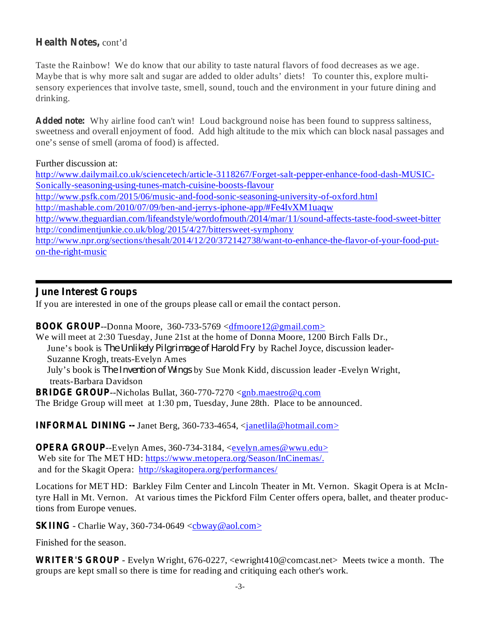## **Health Notes,** cont'd

Taste the Rainbow! We do know that our ability to taste natural flavors of food decreases as we age. Maybe that is why more salt and sugar are added to older adults' diets! To counter this, explore multisensory experiences that involve taste, smell, sound, touch and the environment in your future dining and drinking.

**Added note:** Why airline food can't win! Loud background noise has been found to suppress saltiness, sweetness and overall enjoyment of food. Add high altitude to the mix which can block nasal passages and one's sense of smell (aroma of food) is affected.

Further discussion at:

http://www.dailymail.co.uk/sciencetech/article-3118267/Forget-salt-pepper-enhance-food-dash-MUSIC-Sonically-seasoning-using-tunes-match-cuisine-boosts-flavour http://www.psfk.com/2015/06/music-and-food-sonic-seasoning-university-of-oxford.html http://mashable.com/2010/07/09/ben-and-jerrys-iphone-app/#Fe4IvXM1uaqw http://www.theguardian.com/lifeandstyle/wordofmouth/2014/mar/11/sound-affects-taste-food-sweet-bitter http://condimentjunkie.co.uk/blog/2015/4/27/bittersweet-symphony http://www.npr.org/sections/thesalt/2014/12/20/372142738/want-to-enhance-the-flavor-of-your-food-puton-the-right-music

#### **June Interest Groups**

If you are interested in one of the groups please call or email the contact person.

#### **BOOK GROUP**--Donna Moore, 360-733-5769 <dfmoore12@gmail.com>

We will meet at 2:30 Tuesday, June 21st at the home of Donna Moore, 1200 Birch Falls Dr., June's book is *The Unlikely Pilgrimage of Harold Fry* by Rachel Joyce, discussion leader-Suzanne Krogh, treats-Evelyn Ames July's book is *The Invention of Wings* by Sue Monk Kidd, discussion leader -Evelyn Wright, treats-Barbara Davidson

**BRIDGE GROUP** --Nicholas Bullat, 360-770-7270 <gnb.maestro@q.com The Bridge Group will meet at 1:30 pm, Tuesday, June 28th. Place to be announced.

**INFORMAL DINING --** Janet Berg, 360-733-4654, <janetlila@hotmail.com>

**OPERA GROUP**--Evelyn Ames, 360-734-3184, <evelyn.ames@wwu.edu> Web site for The MET HD: https://www.metopera.org/Season/InCinemas/. and for the Skagit Opera: http://skagitopera.org/performances/

Locations for MET HD: Barkley Film Center and Lincoln Theater in Mt. Vernon. Skagit Opera is at McIntyre Hall in Mt. Vernon. At various times the Pickford Film Center offers opera, ballet, and theater productions from Europe venues.

**SKIING** - Charlie Way, 360-734-0649  $\langle$ chway@aol.com>

Finished for the season.

**WRITER'S GROUP** - Evelyn Wright, 676-0227, <ewright410@comcast.net> Meets twice a month. The groups are kept small so there is time for reading and critiquing each other's work.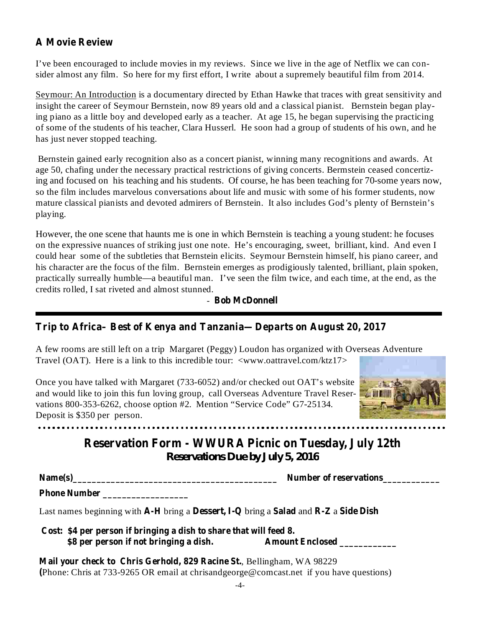## **A Movie Review**

I've been encouraged to include movies in my reviews. Since we live in the age of Netflix we can consider almost any film. So here for my first effort, I write about a supremely beautiful film from 2014.

Seymour: An Introduction is a documentary directed by Ethan Hawke that traces with great sensitivity and insight the career of Seymour Bernstein, now 89 years old and a classical pianist. Bernstein began playing piano as a little boy and developed early as a teacher. At age 15, he began supervising the practicing of some of the students of his teacher, Clara Husserl. He soon had a group of students of his own, and he has just never stopped teaching.

Bernstein gained early recognition also as a concert pianist, winning many recognitions and awards. At age 50, chafing under the necessary practical restrictions of giving concerts. Bermstein ceased concertizing and focused on his teaching and his students. Of course, he has been teaching for 70-some years now, so the film includes marvelous conversations about life and music with some of his former students, now mature classical pianists and devoted admirers of Bernstein. It also includes God's plenty of Bernstein's playing.

However, the one scene that haunts me is one in which Bernstein is teaching a young student: he focuses on the expressive nuances of striking just one note. He's encouraging, sweet, brilliant, kind. And even I could hear some of the subtleties that Bernstein elicits. Seymour Bernstein himself, his piano career, and his character are the focus of the film. Bernstein emerges as prodigiously talented, brilliant, plain spoken, practically surreally humble—a beautiful man. I've seen the film twice, and each time, at the end, as the credits rolled, I sat riveted and almost stunned.

- **Bob McDonnell**

## **Trip to Africa– Best of Kenya and Tanzania—Departs on August 20, 2017**

A few rooms are still left on a trip Margaret (Peggy) Loudon has organized with Overseas Adventure Travel (OAT). Here is a link to this incredible tour: <www.oattravel.com/ktz17>

Once you have talked with Margaret (733-6052) and/or checked out OAT's website and would like to join this fun loving group, call Overseas Adventure Travel Reservations 800-353-6262, choose option #2. Mention "Service Code" G7-25134. Deposit is \$350 per person.



# **Reservation Form - WWURA Picnic on Tuesday, July 12th** *Reservations Due by July 5, 2016*

**Name(s)\_\_\_\_\_\_\_\_\_\_\_\_\_\_\_\_\_\_\_\_\_\_\_\_\_\_\_\_\_\_\_\_\_\_\_\_\_\_\_\_\_\_\_ Number of reservations\_\_\_\_\_\_\_\_\_\_\_\_**

**Phone Number \_\_\_\_\_\_\_\_\_\_\_\_\_\_\_\_\_\_**

Last names beginning with A-H bring a Dessert, I-Q bring a Salad and R-Z a Side Dish

| Cost: \$4 per person if bringing a dish to share that will feed 8. |                        |
|--------------------------------------------------------------------|------------------------|
| \$8 per person if not bringing a dish.                             | <b>Amount Enclosed</b> |

, Bellingham, WA 98229 **Mail your check to Chris Gerhold, 829 Racine St.** Phone: Chris at 733-9265 OR email at chrisandgeorge@comcast.net if you have questions) **(**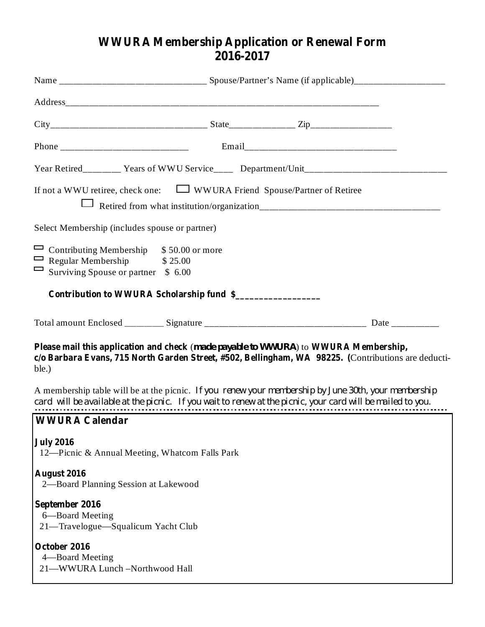## **WWURA Membership Application or Renewal Form 2016-2017**

| If not a WWU retiree, check one: $\Box$ WWURA Friend Spouse/Partner of Retiree                                                                                                                                     |  |  |  |  |
|--------------------------------------------------------------------------------------------------------------------------------------------------------------------------------------------------------------------|--|--|--|--|
| Select Membership (includes spouse or partner)                                                                                                                                                                     |  |  |  |  |
| Contributing Membership \$50.00 or more<br>$\Box$ Regular Membership<br>\$25.00<br>$\Box$<br>Surviving Spouse or partner \$ 6.00                                                                                   |  |  |  |  |
| Contribution to WWURA Scholarship fund \$                                                                                                                                                                          |  |  |  |  |
|                                                                                                                                                                                                                    |  |  |  |  |
| Please mail this application and check (made payable to WWURA) to WWURA Membership,<br>c/o Barbara Evans, 715 North Garden Street, #502, Bellingham, WA 98225. (Contributions are deducti-<br>ble.)                |  |  |  |  |
| A membership table will be at the picnic. If you renew your membership by June 30th, your membership<br>card will be available at the picnic. If you wait to renew at the picnic, your card will be mailed to you. |  |  |  |  |
| <b>WWURA Calendar</b>                                                                                                                                                                                              |  |  |  |  |
| <b>July 2016</b><br>12—Picnic & Annual Meeting, Whatcom Falls Park                                                                                                                                                 |  |  |  |  |
| August 2016<br>2-Board Planning Session at Lakewood                                                                                                                                                                |  |  |  |  |
| September 2016<br>6-Board Meeting<br>21-Travelogue-Squalicum Yacht Club                                                                                                                                            |  |  |  |  |
| October 2016<br>4—Board Meeting<br>21-WWURA Lunch-Northwood Hall                                                                                                                                                   |  |  |  |  |